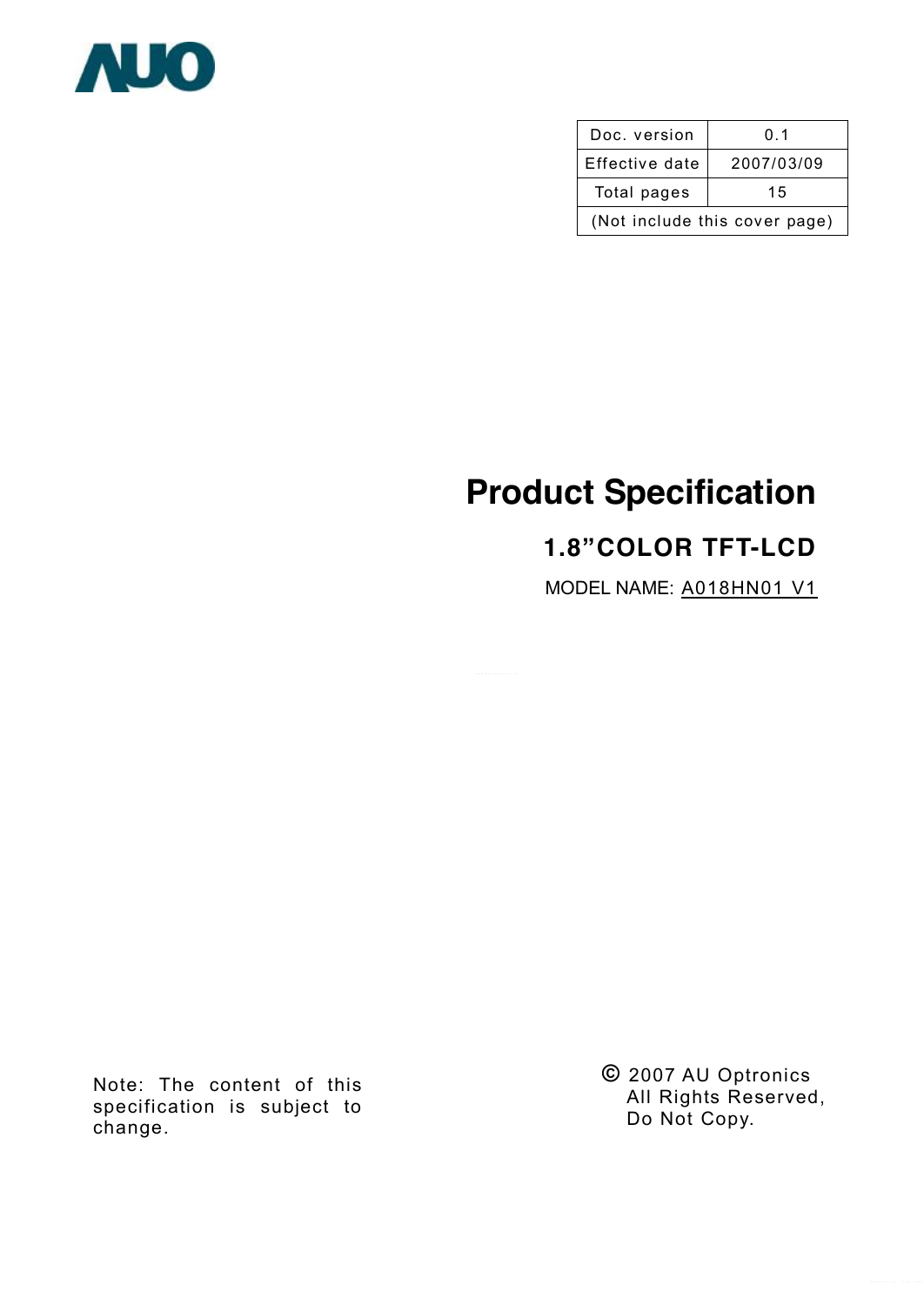

| Doc. version                  | 0.1        |  |  |  |  |
|-------------------------------|------------|--|--|--|--|
| Effective date                | 2007/03/09 |  |  |  |  |
| Total pages                   | 15         |  |  |  |  |
| (Not include this cover page) |            |  |  |  |  |

# **Product Specification**

# **1.8"COLOR TFT-LCD**

MODEL NAME: A018HN01 V1

Note: The content of this specification is subject to change.

**©** 2007 AU Optronics All Rights Reserved, Do Not Copy.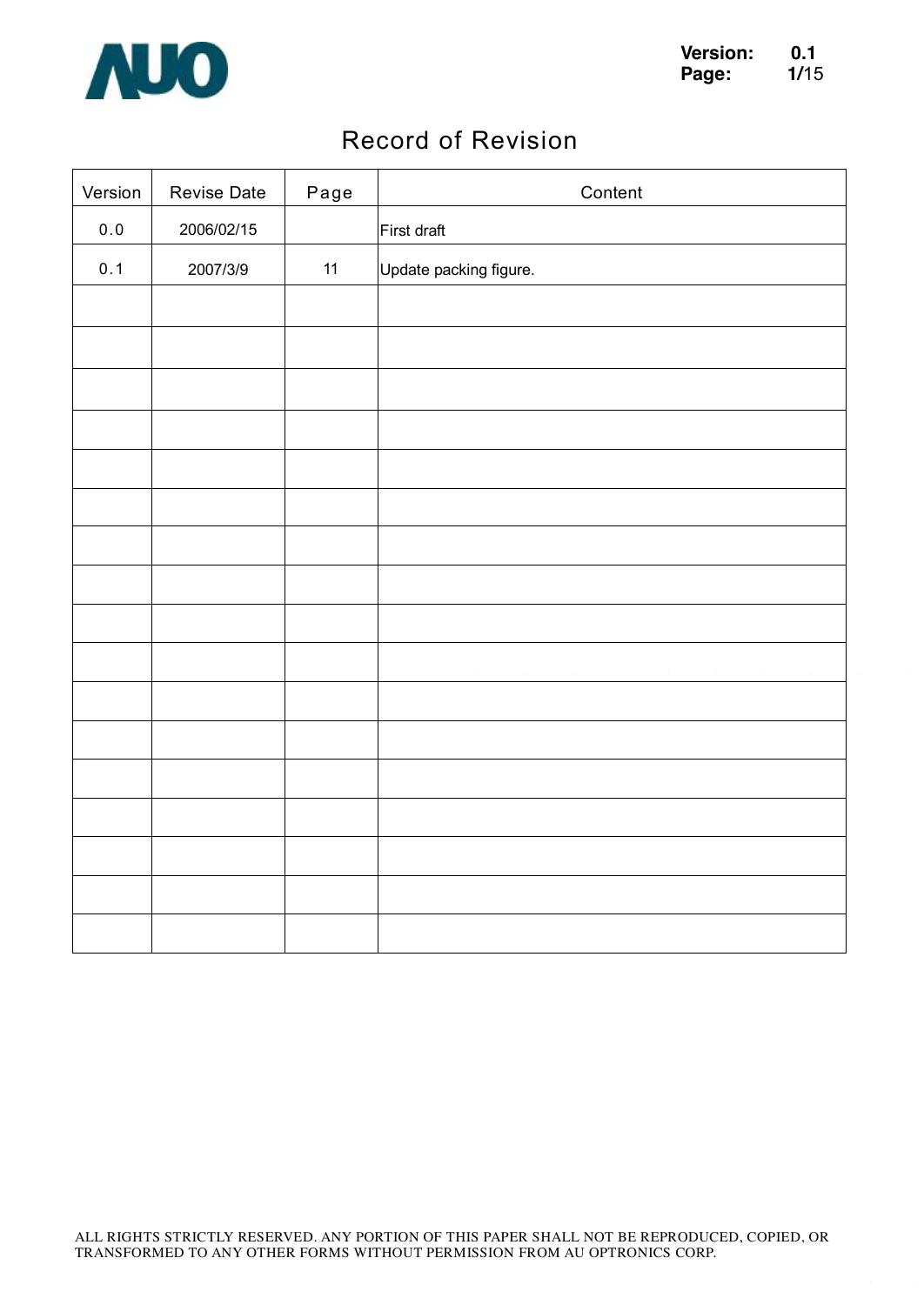

## Record of Revision

| Version | <b>Revise Date</b> | Page | Content                |
|---------|--------------------|------|------------------------|
| $0.0$   | 2006/02/15         |      | First draft            |
| 0.1     | 2007/3/9           | 11   | Update packing figure. |
|         |                    |      |                        |
|         |                    |      |                        |
|         |                    |      |                        |
|         |                    |      |                        |
|         |                    |      |                        |
|         |                    |      |                        |
|         |                    |      |                        |
|         |                    |      |                        |
|         |                    |      |                        |
|         |                    |      |                        |
|         |                    |      |                        |
|         |                    |      |                        |
|         |                    |      |                        |
|         |                    |      |                        |
|         |                    |      |                        |
|         |                    |      |                        |
|         |                    |      |                        |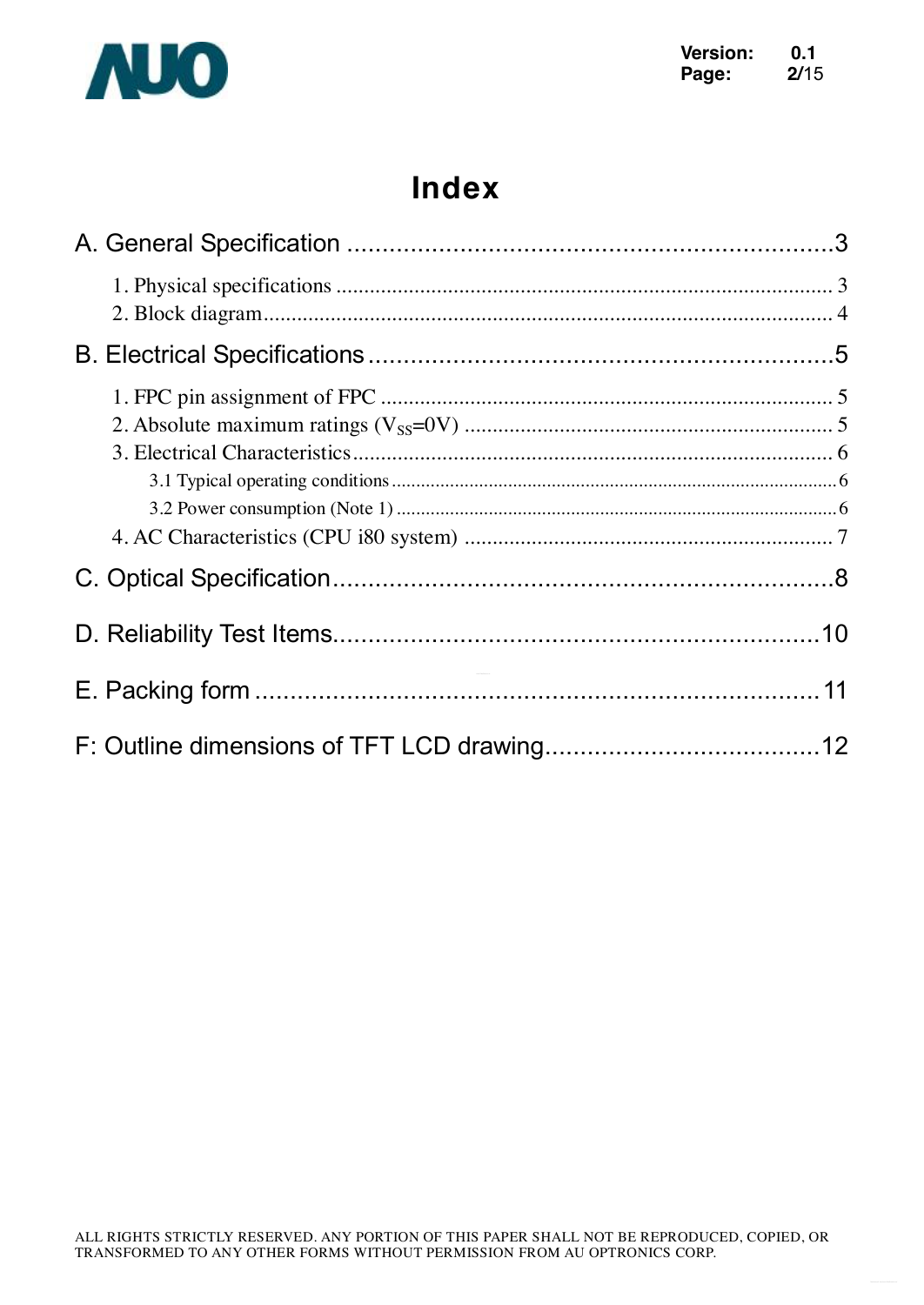

# **Index**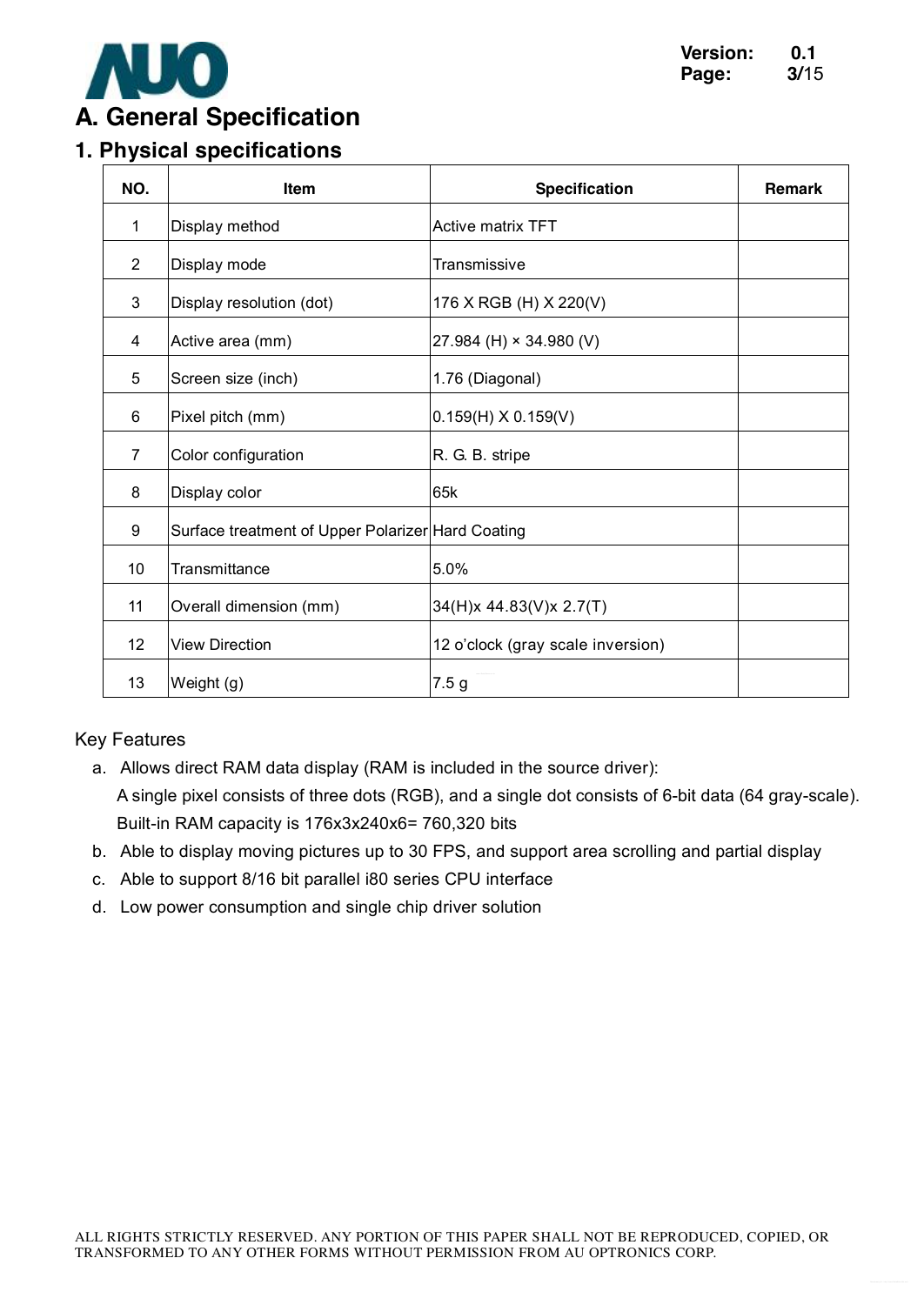

# **1. Physical specifications**

| NO.             | Item                                              | <b>Specification</b>              | <b>Remark</b> |
|-----------------|---------------------------------------------------|-----------------------------------|---------------|
| 1               | Display method                                    | <b>Active matrix TFT</b>          |               |
| $\overline{2}$  | Display mode                                      | Transmissive                      |               |
| $\mathfrak{S}$  | Display resolution (dot)                          | 176 X RGB (H) X 220(V)            |               |
| 4               | Active area (mm)                                  | 27.984 (H) $\times$ 34.980 (V)    |               |
| 5               | Screen size (inch)                                | 1.76 (Diagonal)                   |               |
| 6               | Pixel pitch (mm)                                  | $0.159(H)$ X 0.159(V)             |               |
| $\overline{7}$  | Color configuration                               | R. G. B. stripe                   |               |
| 8               | Display color                                     | 65k                               |               |
| 9               | Surface treatment of Upper Polarizer Hard Coating |                                   |               |
| 10              | Transmittance                                     | 5.0%                              |               |
| 11              | Overall dimension (mm)                            | 34(H)x 44.83(V)x 2.7(T)           |               |
| 12 <sup>2</sup> | <b>View Direction</b>                             | 12 o'clock (gray scale inversion) |               |
| 13              | Weight (g)                                        | 7.5 <sub>g</sub>                  |               |

#### Key Features

- a. Allows direct RAM data display (RAM is included in the source driver): A single pixel consists of three dots (RGB), and a single dot consists of 6-bit data (64 gray-scale). Built-in RAM capacity is 176x3x240x6= 760,320 bits
- b. Able to display moving pictures up to 30 FPS, and support area scrolling and partial display
- c. Able to support 8/16 bit parallel i80 series CPU interface
- d. Low power consumption and single chip driver solution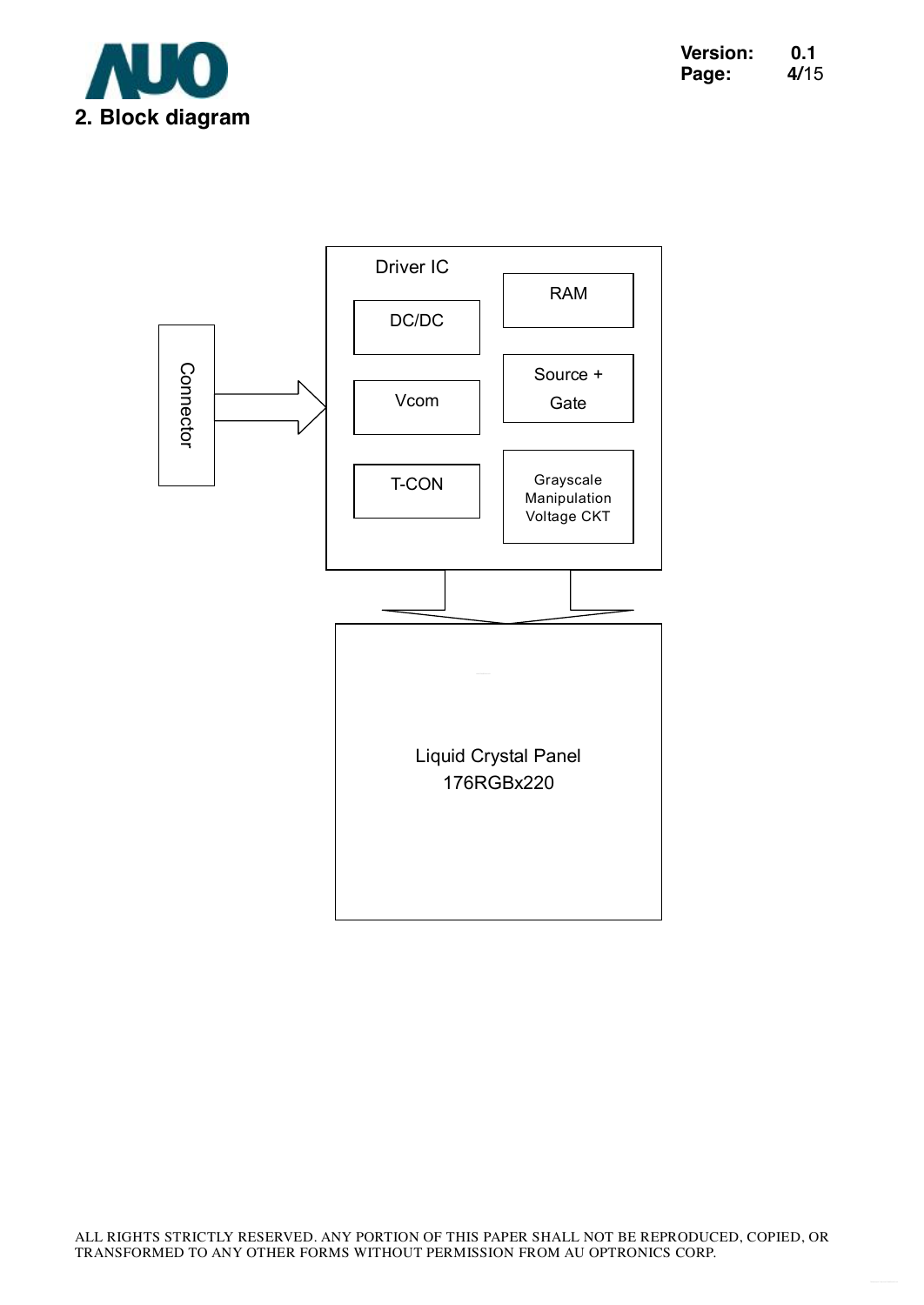

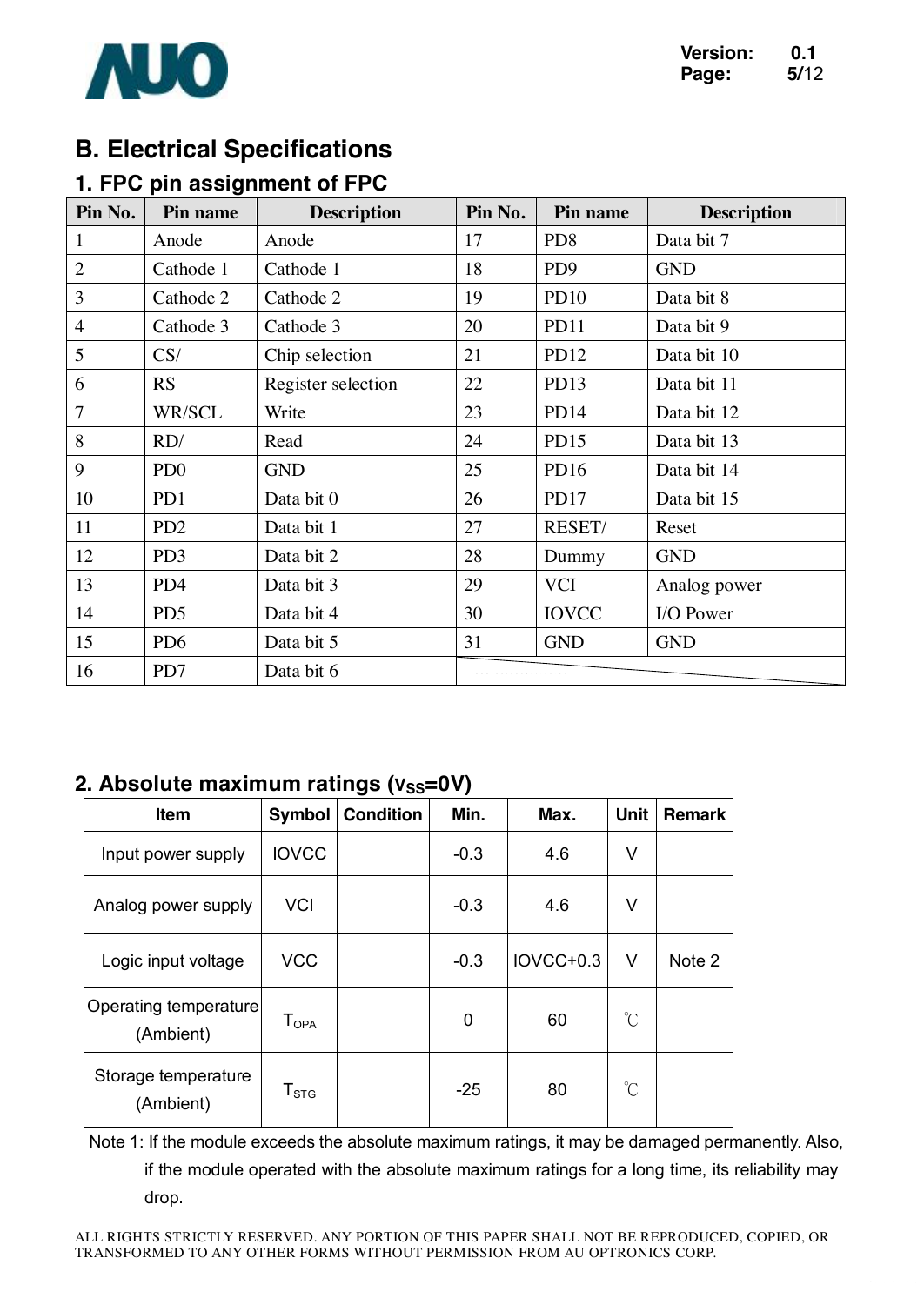

## **B. Electrical Specifications**

### **1. FPC pin assignment of FPC**

| Pin No.        | Pin name                    | <b>Description</b> | Pin No. | Pin name         | <b>Description</b> |
|----------------|-----------------------------|--------------------|---------|------------------|--------------------|
| $\mathbf{1}$   | Anode                       | Anode              | 17      | PD <sub>8</sub>  | Data bit 7         |
| $\overline{2}$ | Cathode 1                   | Cathode 1          | 18      | PD <sub>9</sub>  | <b>GND</b>         |
| 3              | Cathode 2                   | Cathode 2          | 19      | <b>PD10</b>      | Data bit 8         |
| $\overline{4}$ | Cathode 3                   | Cathode 3          | 20      | <b>PD11</b>      | Data bit 9         |
| 5              | CS/                         | Chip selection     | 21      | PD12             | Data bit 10        |
| 6              | RS                          | Register selection | 22      | PD <sub>13</sub> | Data bit 11        |
| $\overline{7}$ | <b>WR/SCL</b>               | Write              | 23      | PD <sub>14</sub> | Data bit 12        |
| 8              | RD/                         | Read               | 24      | PD15             | Data bit 13        |
| 9              | P <sub>D</sub> <sub>0</sub> | <b>GND</b>         | 25      | PD <sub>16</sub> | Data bit 14        |
| 10             | PD1                         | Data bit 0         | 26      | PD17             | Data bit 15        |
| 11             | PD <sub>2</sub>             | Data bit 1         | 27      | <b>RESET/</b>    | Reset              |
| 12             | PD <sub>3</sub>             | Data bit 2         | 28      | Dummy            | <b>GND</b>         |
| 13             | PD <sub>4</sub>             | Data bit 3         | 29      | <b>VCI</b>       | Analog power       |
| 14             | PD <sub>5</sub>             | Data bit 4         | 30      | <b>IOVCC</b>     | I/O Power          |
| 15             | PD <sub>6</sub>             | Data bit 5         | 31      | <b>GND</b>       | <b>GND</b>         |
| 16             | PD7                         | Data bit 6         |         |                  |                    |

#### **2. Absolute maximum ratings (Vss=0V)**

| Item                               | Symbol                 | <b>Condition</b> | Min.   | Max.      | <b>Unit</b>  | Remark |
|------------------------------------|------------------------|------------------|--------|-----------|--------------|--------|
| Input power supply                 | <b>IOVCC</b>           |                  | $-0.3$ | 4.6       | V            |        |
| Analog power supply                | <b>VCI</b>             |                  | $-0.3$ | 4.6       | V            |        |
| Logic input voltage                | <b>VCC</b>             |                  | $-0.3$ | IOVCC+0.3 | V            | Note 2 |
| Operating temperature<br>(Ambient) | $T_{OPA}$              |                  | 0      | 60        | $\mathrm{C}$ |        |
| Storage temperature<br>(Ambient)   | ${\sf T}_{\text{STG}}$ |                  | $-25$  | 80        | $\mathrm{C}$ |        |

Note 1: If the module exceeds the absolute maximum ratings, it may be damaged permanently. Also, if the module operated with the absolute maximum ratings for a long time, its reliability may drop.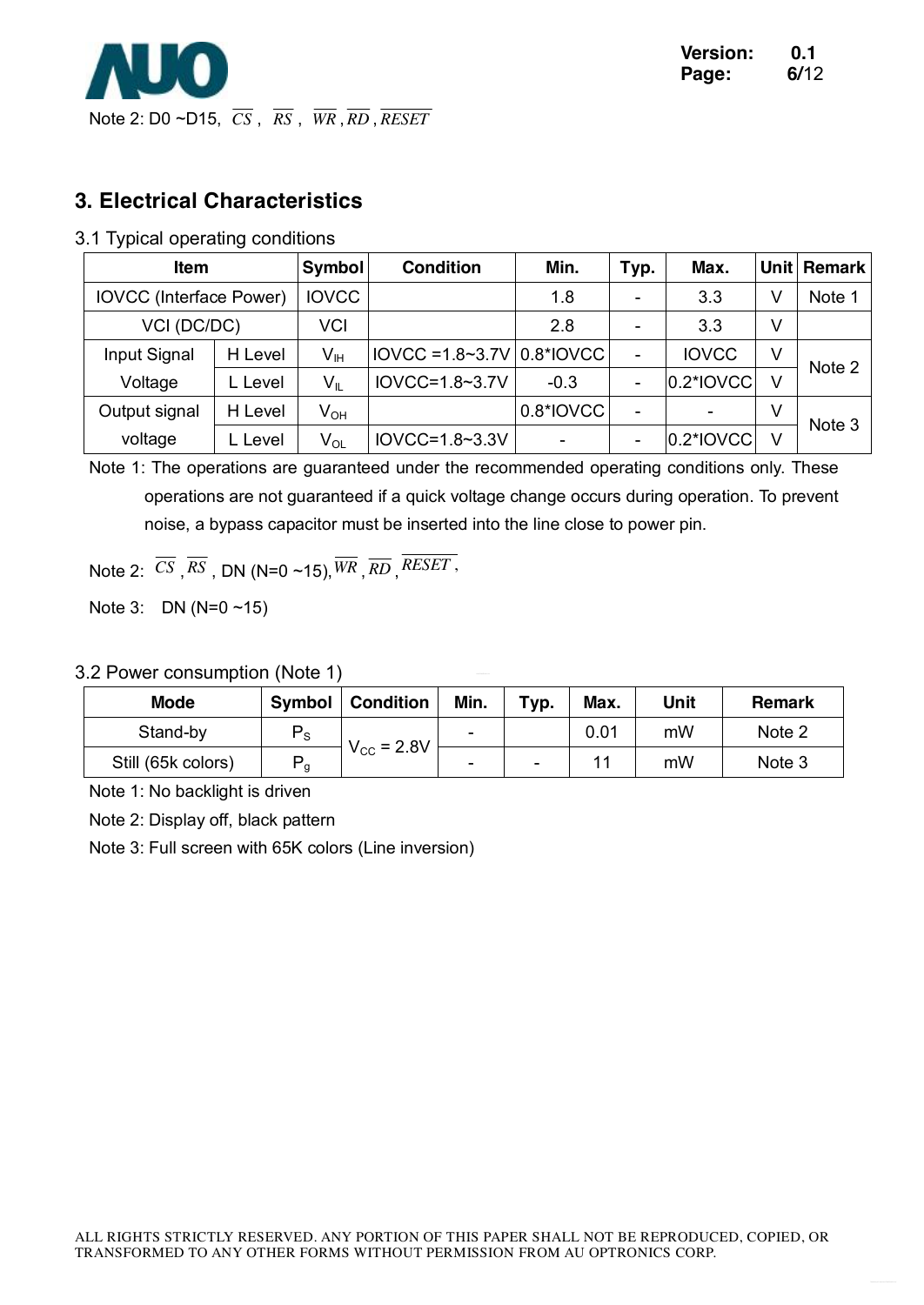

#### **3. Electrical Characteristics**

#### 3.1 Typical operating conditions

| Item                           |         | <b>Symbol</b>              | <b>Condition</b>                | Min.      | Typ. | Max.         | <b>Unit</b> | <b>Remark</b> |
|--------------------------------|---------|----------------------------|---------------------------------|-----------|------|--------------|-------------|---------------|
| <b>IOVCC</b> (Interface Power) |         | <b>IOVCC</b>               |                                 | 1.8       | -    | 3.3          | V           | Note 1        |
| VCI (DC/DC)                    |         | VCI                        |                                 | 2.8       |      | 3.3          | V           |               |
| Input Signal                   | H Level | $\mathsf{V}_{\mathsf{IH}}$ | $IOVCC = 1.8~3.7V   0.8^*IOVCC$ |           | ۰    | <b>IOVCC</b> | V           | Note 2        |
| Voltage                        | . Level | $V_{IL}$                   | $IOVCC = 1.8~3.7V$              | $-0.3$    | -    | 0.2*IOVCC    | V           |               |
| Output signal                  | H Level | $\mathsf{V}_{\mathsf{OH}}$ |                                 | 0.8*IOVCC |      |              | V           | Note 3        |
| voltage                        | Level   | $\mathsf{V}_{\mathsf{OL}}$ | $IOVCC = 1.8~3.3V$              |           |      | 0.2*IOVCC    | V           |               |

Note 1: The operations are guaranteed under the recommended operating conditions only. These operations are not guaranteed if a quick voltage change occurs during operation. To prevent noise, a bypass capacitor must be inserted into the line close to power pin.

Note 2:  $\overline{CS}$ ,  $\overline{RS}$ , DN (N=0 ~15),  $\overline{WR}$ ,  $\overline{RD}$ ,  $\overline{RESET}$ ,

Note 3: DN (N=0 ~15)

3.2 Power consumption (Note 1)

| <b>Mode</b>        | <b>Symbol</b>  | <b>Condition</b>    | Min. | Typ. | Max. | Unit | <b>Remark</b> |
|--------------------|----------------|---------------------|------|------|------|------|---------------|
| Stand-by           | $P_{\rm S}$    | $V_{\rm CC} = 2.8V$ | -    |      | 0.01 | mW   | Note 2        |
| Still (65k colors) | P <sub>g</sub> |                     | -    | -    |      | mW   | Note 3        |

Note 1: No backlight is driven

Note 2: Display off, black pattern

Note 3: Full screen with 65K colors (Line inversion)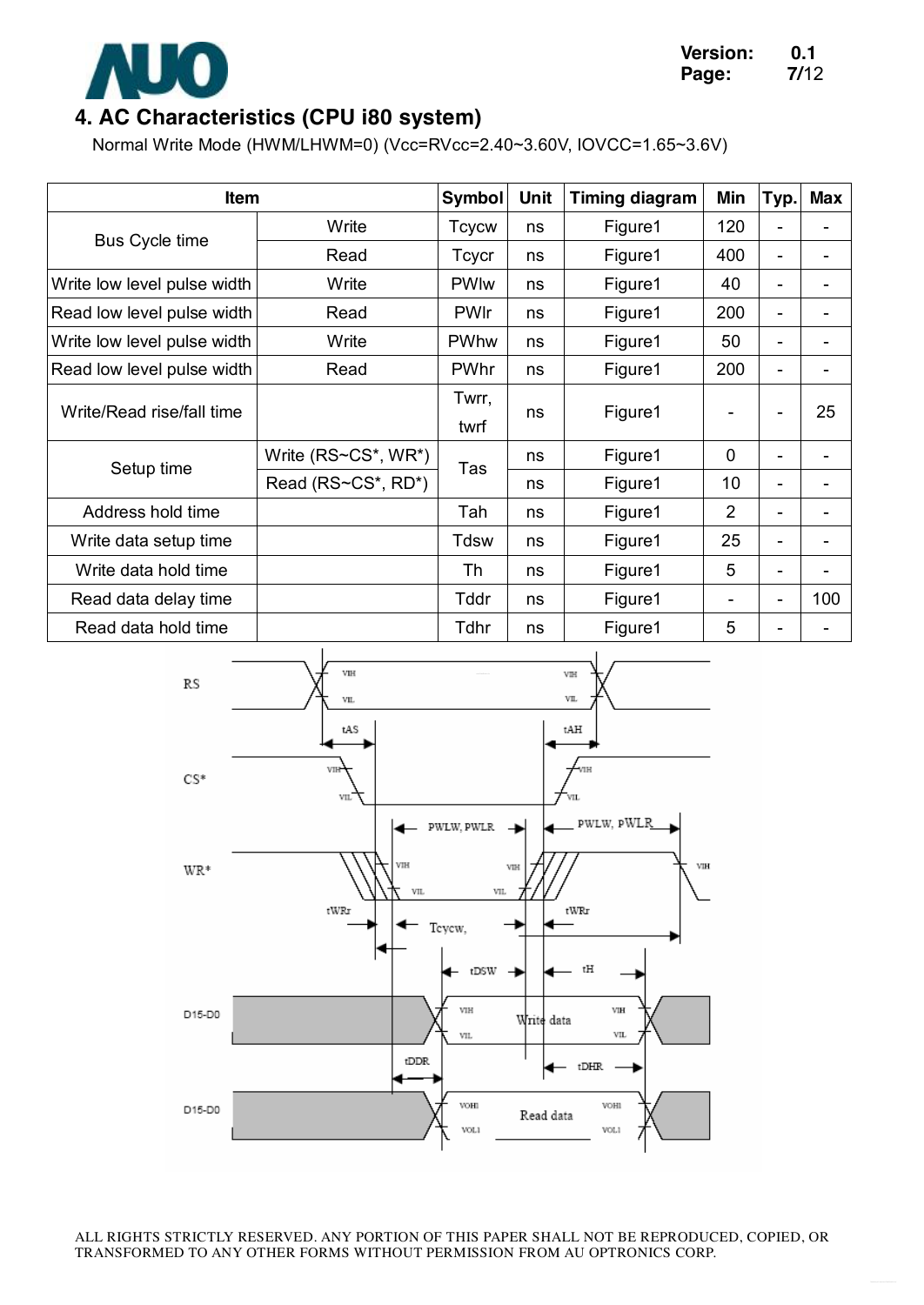

### **4. AC Characteristics (CPU i80 system)**

Normal Write Mode (HWM/LHWM=0) (Vcc=RVcc=2.40~3.60V, IOVCC=1.65~3.6V)

| <b>Item</b>                 |                     | Symbol        | <b>Unit</b> | <b>Timing diagram</b> | Min         | Typ. | <b>Max</b> |
|-----------------------------|---------------------|---------------|-------------|-----------------------|-------------|------|------------|
|                             | Write               | <b>Tcycw</b>  | ns          | Figure1               | 120         | ۰    |            |
| <b>Bus Cycle time</b>       | Read                | Tcycr         | ns          | Figure1               | 400         | -    | -          |
| Write low level pulse width | Write               | <b>PWIw</b>   | ns          | Figure1               | 40          | ۰    |            |
| Read low level pulse width  | Read                | <b>PWIr</b>   | ns          | Figure1               | 200         | -    |            |
| Write low level pulse width | Write               | PWhw          | ns          | Figure1               | 50          |      |            |
| Read low level pulse width  | Read                | PWhr          | ns          | Figure1               | 200         | -    |            |
| Write/Read rise/fall time   |                     | Twrr,<br>twrf | ns          | Figure1               | ۰           | -    | 25         |
|                             | Write (RS~CS*, WR*) |               | ns          | Figure1               | $\mathbf 0$ | ۰    |            |
| Setup time                  | Read (RS~CS*, RD*)  | Tas           | ns          | Figure1               | 10          | ٠    |            |
| Address hold time           |                     | Tah           | ns          | Figure1               | 2           | -    |            |
| Write data setup time       |                     | Tdsw          | ns          | Figure1               | 25          | ٠    |            |
| Write data hold time        |                     | Th            | ns          | Figure1               | 5           | ٠    |            |
| Read data delay time        |                     | Tddr          | ns          | Figure1               | -           | -    | 100        |
| Read data hold time         |                     | Tdhr          | ns          | Figure1               | 5           |      |            |

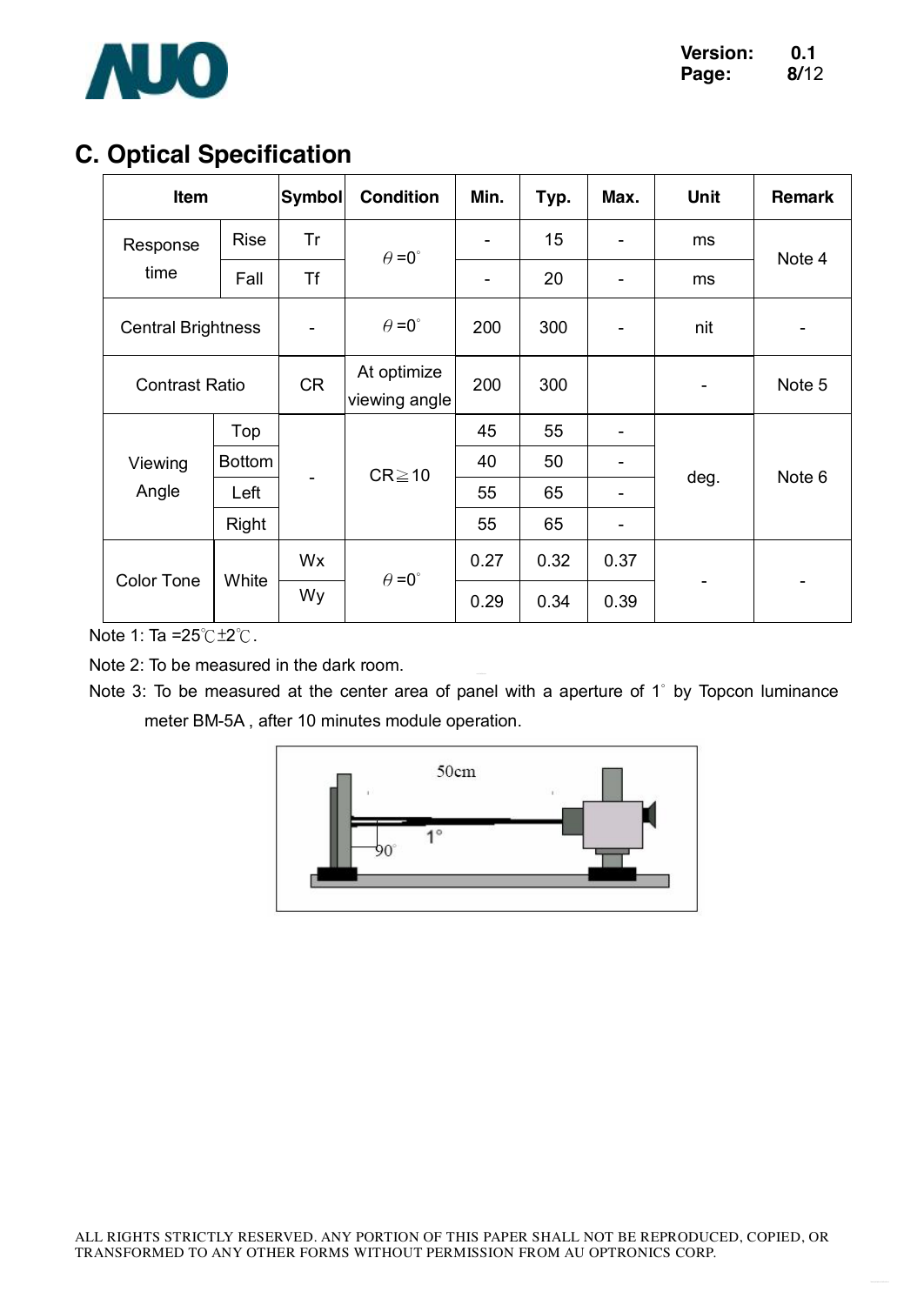

# **C. Optical Specification**

| Item                      |               | <b>Symbol</b> | <b>Condition</b>             | Min.           | Typ. | Max. | <b>Unit</b> | <b>Remark</b>     |
|---------------------------|---------------|---------------|------------------------------|----------------|------|------|-------------|-------------------|
| Response                  | <b>Rise</b>   | Tr            | $\theta = 0^{\circ}$         | $\blacksquare$ | 15   |      | ms          | Note 4            |
| time                      | Fall          | <b>Tf</b>     |                              | -              | 20   |      | ms          |                   |
| <b>Central Brightness</b> |               |               | $\theta = 0^{\circ}$         | 200            | 300  |      | nit         |                   |
| <b>Contrast Ratio</b>     |               | <b>CR</b>     | At optimize<br>viewing angle | 200            | 300  |      | ۰           | Note 5            |
|                           | Top           |               | $CR \ge 10$                  | 45             | 55   |      | deg.        |                   |
| Viewing                   | <b>Bottom</b> |               |                              | 40             | 50   |      |             |                   |
| Angle                     | Left          |               |                              | 55             | 65   |      |             | Note <sub>6</sub> |
|                           | Right         |               |                              | 55             | 65   |      |             |                   |
|                           |               | Wx            | $\theta = 0^{\circ}$         | 0.27           | 0.32 | 0.37 |             |                   |
| <b>Color Tone</b>         | White         | Wy            |                              | 0.29           | 0.34 | 0.39 |             |                   |

Note 1: Ta =25℃±2℃.

Note 2: To be measured in the dark room.

Note 3: To be measured at the center area of panel with a aperture of 1° by Topcon luminance meter BM-5A , after 10 minutes module operation.

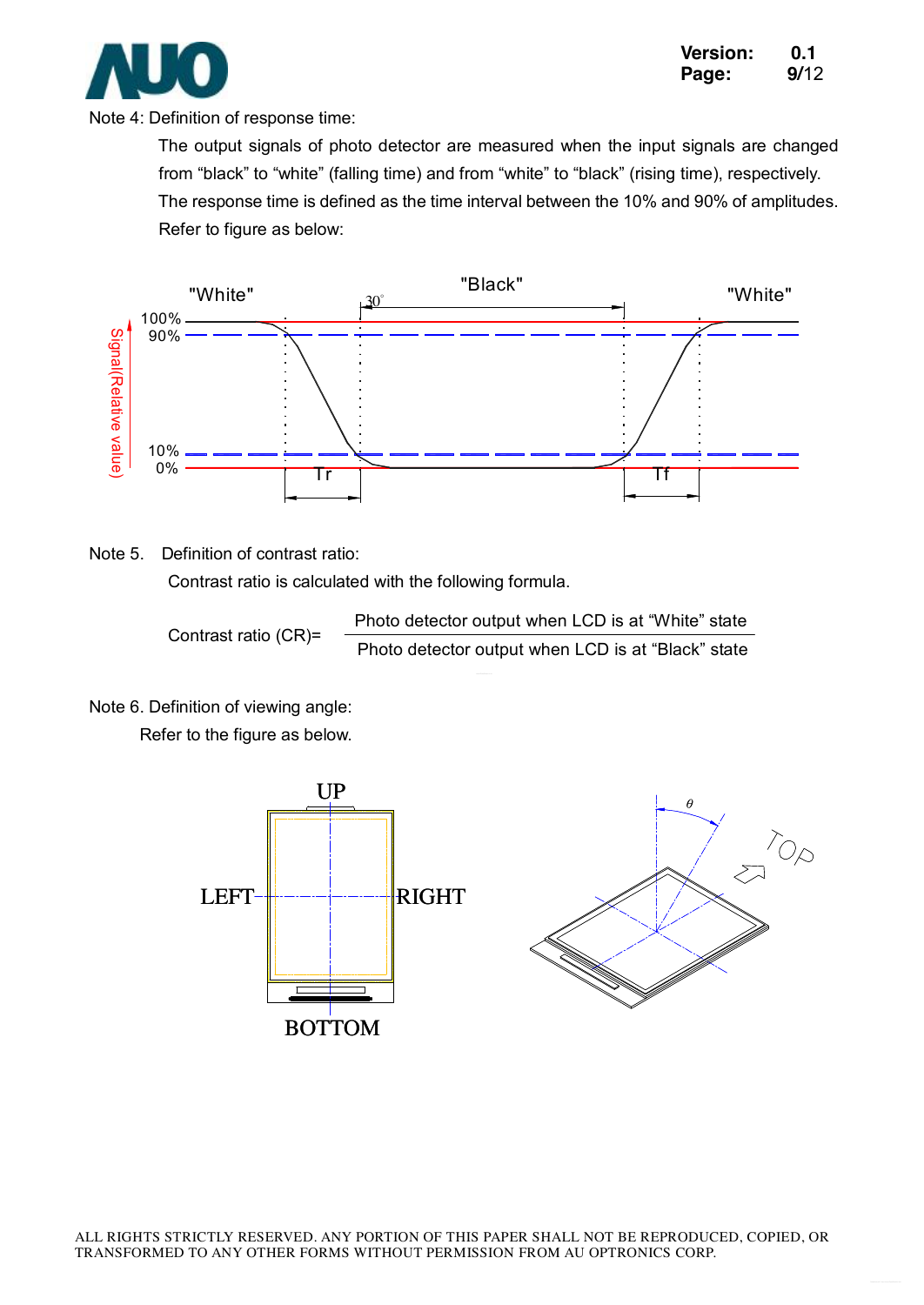

Note 4: Definition of response time:

The output signals of photo detector are measured when the input signals are changed from "black" to "white" (falling time) and from "white" to "black" (rising time), respectively. The response time is defined as the time interval between the 10% and 90% of amplitudes. Refer to figure as below:



Note 5. Definition of contrast ratio:

Contrast ratio is calculated with the following formula.

Contrast ratio (CR)= Photo detector output when LCD is at "White" state Photo detector output when LCD is at "Black" state

Note 6. Definition of viewing angle:

Refer to the figure as below.

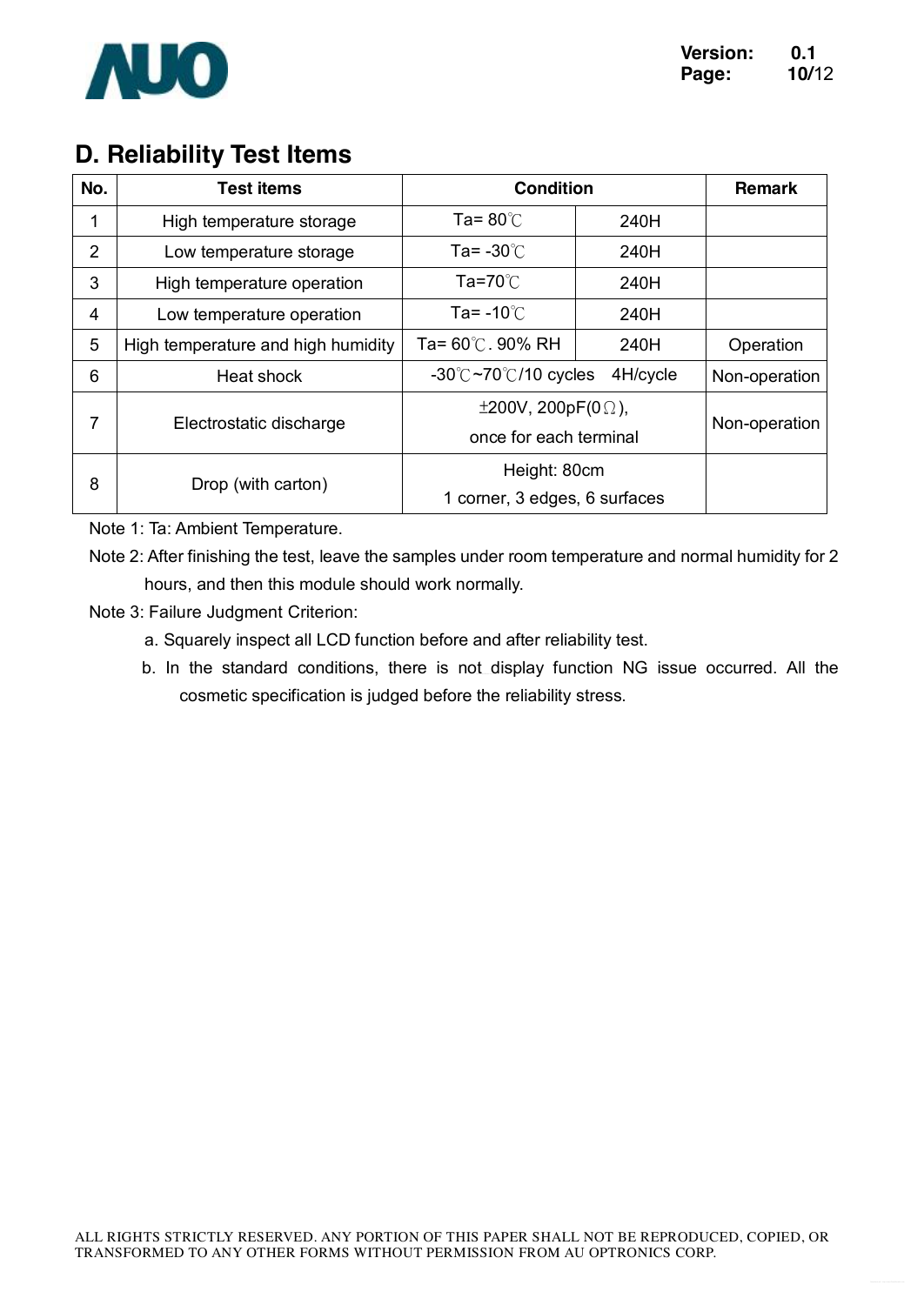

# **D. Reliability Test Items**

| No. | <b>Test items</b>                  | <b>Condition</b>                                           | <b>Remark</b> |           |
|-----|------------------------------------|------------------------------------------------------------|---------------|-----------|
| 1   | High temperature storage           | Ta= $80^{\circ}$ C                                         | 240H          |           |
| 2   | Low temperature storage            | Ta= $-30^{\circ}$ C                                        | 240H          |           |
| 3   | High temperature operation         | Ta=70 $\degree$ C                                          | 240H          |           |
| 4   | Low temperature operation          | Ta= -10 $\degree$ C<br>240H                                |               |           |
| 5   | High temperature and high humidity | Ta= 60℃. 90% RH                                            | 240H          | Operation |
| 6   | Heat shock                         | $-30^{\circ}$ C $-70^{\circ}$ C/10 cycles                  | Non-operation |           |
| 7   | Electrostatic discharge            | $\pm 200V$ , 200pF(0 $\Omega$ ),<br>once for each terminal | Non-operation |           |
| 8   | Drop (with carton)                 | Height: 80cm<br>1 corner, 3 edges, 6 surfaces              |               |           |

Note 1: Ta: Ambient Temperature.

Note 2: After finishing the test, leave the samples under room temperature and normal humidity for 2 hours, and then this module should work normally.

- Note 3: Failure Judgment Criterion:
	- a. Squarely inspect all LCD function before and after reliability test.
	- b. In the standard conditions, there is not display function NG issue occurred. All the cosmetic specification is judged before the reliability stress.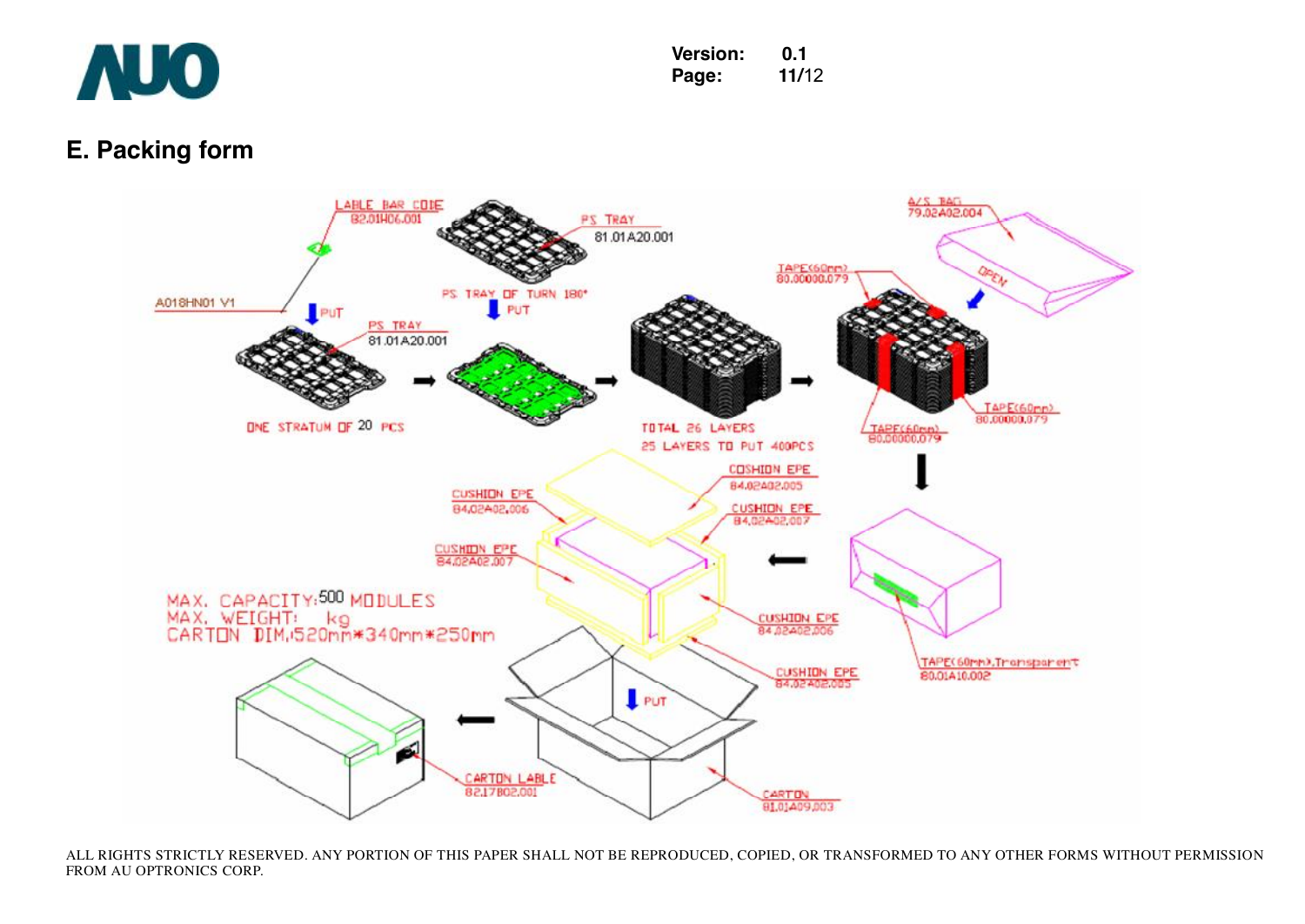

### **E. Packing form**



ALL RIGHTS STRICTLY RESERVED. ANY PORTION OF THIS PAPER SHALL NOT BE REPRODUCED, COPIED, OR TRANSFORMED TO ANY OTHER FORMS WITHOUT PERMISSION FROM AU OPTRONICS CORP.